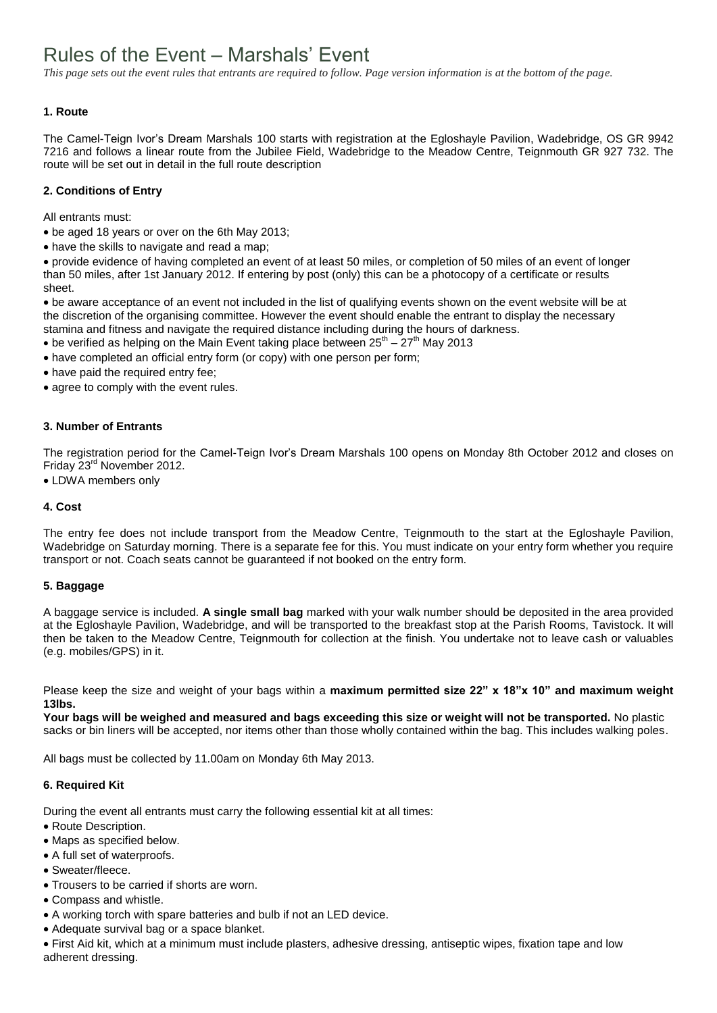# Rules of the Event – Marshals' Event

*This page sets out the event rules that entrants are required to follow. Page version information is at the bottom of the page.*

## **1. Route**

The Camel-Teign Ivor's Dream Marshals 100 starts with registration at the Egloshayle Pavilion, Wadebridge, OS GR 9942 7216 and follows a linear route from the Jubilee Field, Wadebridge to the Meadow Centre, Teignmouth GR 927 732. The route will be set out in detail in the full route description

## **2. Conditions of Entry**

All entrants must:

- be aged 18 years or over on the 6th May 2013;
- have the skills to navigate and read a map;

provide evidence of having completed an event of at least 50 miles, or completion of 50 miles of an event of longer than 50 miles, after 1st January 2012. If entering by post (only) this can be a photocopy of a certificate or results sheet.

be aware acceptance of an event not included in the list of qualifying events shown on the event website will be at the discretion of the organising committee. However the event should enable the entrant to display the necessary stamina and fitness and navigate the required distance including during the hours of darkness.

- be verified as helping on the Main Event taking place between  $25<sup>th</sup> 27<sup>th</sup>$  May 2013
- have completed an official entry form (or copy) with one person per form;
- have paid the required entry fee;
- agree to comply with the event rules.

#### **3. Number of Entrants**

The registration period for the Camel-Teign Ivor's Dream Marshals 100 opens on Monday 8th October 2012 and closes on Friday 23<sup>rd</sup> November 2012.

LDWA members only

#### **4. Cost**

The entry fee does not include transport from the Meadow Centre, Teignmouth to the start at the Egloshayle Pavilion, Wadebridge on Saturday morning. There is a separate fee for this. You must indicate on your entry form whether you require transport or not. Coach seats cannot be guaranteed if not booked on the entry form.

#### **5. Baggage**

A baggage service is included. **A single small bag** marked with your walk number should be deposited in the area provided at the Egloshayle Pavilion, Wadebridge, and will be transported to the breakfast stop at the Parish Rooms, Tavistock. It will then be taken to the Meadow Centre, Teignmouth for collection at the finish. You undertake not to leave cash or valuables (e.g. mobiles/GPS) in it.

Please keep the size and weight of your bags within a **maximum permitted size 22" x 18"x 10" and maximum weight 13lbs.**

**Your bags will be weighed and measured and bags exceeding this size or weight will not be transported.** No plastic sacks or bin liners will be accepted, nor items other than those wholly contained within the bag. This includes walking poles.

All bags must be collected by 11.00am on Monday 6th May 2013.

### **6. Required Kit**

During the event all entrants must carry the following essential kit at all times:

- Route Description.
- Maps as specified below.
- A full set of waterproofs.
- Sweater/fleece.
- Trousers to be carried if shorts are worn.
- Compass and whistle.
- A working torch with spare batteries and bulb if not an LED device.
- Adequate survival bag or a space blanket.

First Aid kit, which at a minimum must include plasters, adhesive dressing, antiseptic wipes, fixation tape and low adherent dressing.